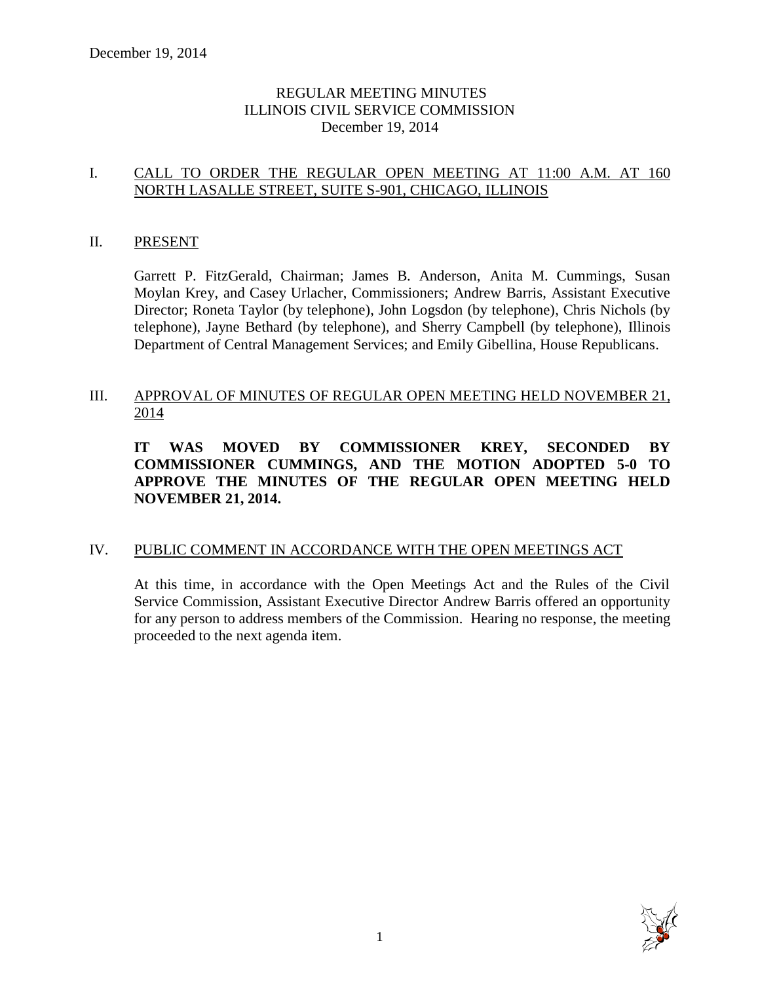# REGULAR MEETING MINUTES ILLINOIS CIVIL SERVICE COMMISSION December 19, 2014

# I. CALL TO ORDER THE REGULAR OPEN MEETING AT 11:00 A.M. AT 160 NORTH LASALLE STREET, SUITE S-901, CHICAGO, ILLINOIS

#### II. PRESENT

Garrett P. FitzGerald, Chairman; James B. Anderson, Anita M. Cummings, Susan Moylan Krey, and Casey Urlacher, Commissioners; Andrew Barris, Assistant Executive Director; Roneta Taylor (by telephone), John Logsdon (by telephone), Chris Nichols (by telephone), Jayne Bethard (by telephone), and Sherry Campbell (by telephone), Illinois Department of Central Management Services; and Emily Gibellina, House Republicans.

# III. APPROVAL OF MINUTES OF REGULAR OPEN MEETING HELD NOVEMBER 21, 2014

**IT WAS MOVED BY COMMISSIONER KREY, SECONDED BY COMMISSIONER CUMMINGS, AND THE MOTION ADOPTED 5-0 TO APPROVE THE MINUTES OF THE REGULAR OPEN MEETING HELD NOVEMBER 21, 2014.** 

# IV. PUBLIC COMMENT IN ACCORDANCE WITH THE OPEN MEETINGS ACT

At this time, in accordance with the Open Meetings Act and the Rules of the Civil Service Commission, Assistant Executive Director Andrew Barris offered an opportunity for any person to address members of the Commission. Hearing no response, the meeting proceeded to the next agenda item.

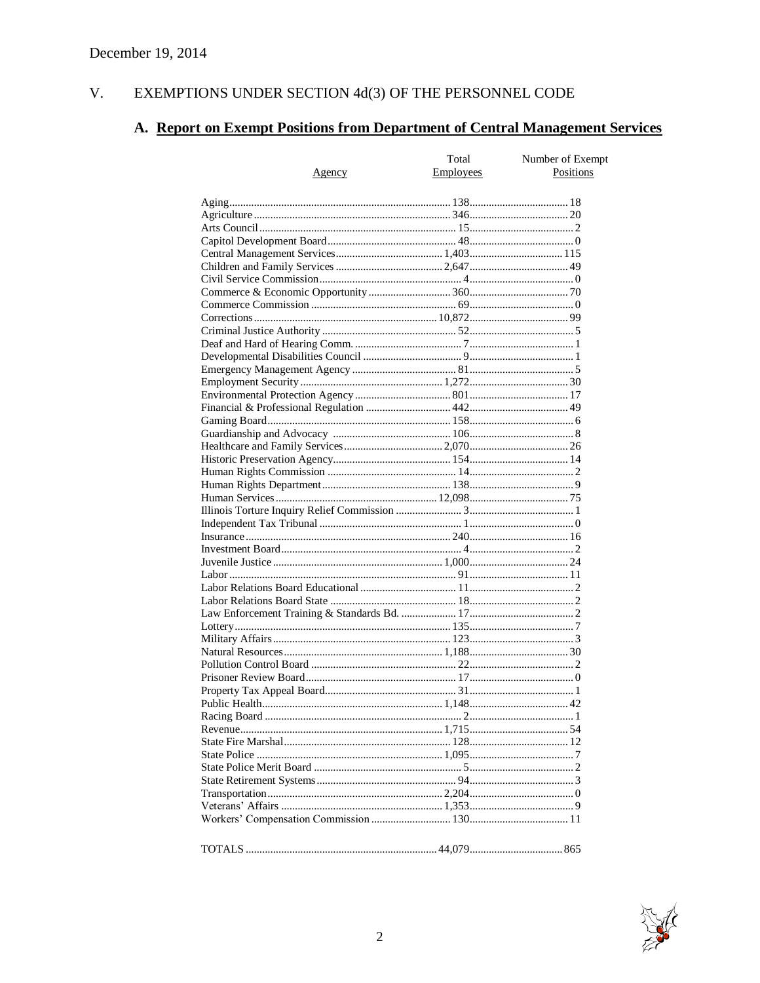#### $V<sub>r</sub>$ EXEMPTIONS UNDER SECTION  $4d(3)$  OF THE PERSONNEL CODE

# A. Report on Exempt Positions from Department of Central Management Services

|        | Total            | Number of Exempt |
|--------|------------------|------------------|
| Agency | <b>Employees</b> | Positions        |
|        |                  |                  |
|        |                  |                  |
|        |                  |                  |
|        |                  |                  |
|        |                  |                  |
|        |                  |                  |
|        |                  |                  |
|        |                  |                  |
|        |                  |                  |
|        |                  |                  |
|        |                  |                  |
|        |                  |                  |
|        |                  |                  |
|        |                  |                  |
|        |                  |                  |
|        |                  |                  |
|        |                  |                  |
|        |                  |                  |
|        |                  |                  |
|        |                  |                  |
|        |                  |                  |
|        |                  |                  |
|        |                  |                  |
|        |                  |                  |
|        |                  |                  |
|        |                  |                  |
|        |                  |                  |
|        |                  |                  |
|        |                  |                  |
|        |                  |                  |
|        |                  |                  |
|        |                  |                  |
|        |                  |                  |
|        |                  |                  |
|        |                  |                  |
|        |                  |                  |
|        |                  |                  |
|        |                  |                  |
|        |                  |                  |
|        |                  |                  |
|        |                  |                  |
|        |                  |                  |
|        |                  |                  |
|        |                  |                  |
|        |                  |                  |
|        |                  |                  |
|        |                  |                  |
|        |                  |                  |
|        |                  |                  |
|        |                  |                  |
|        |                  |                  |
|        |                  |                  |
|        |                  |                  |
|        |                  |                  |

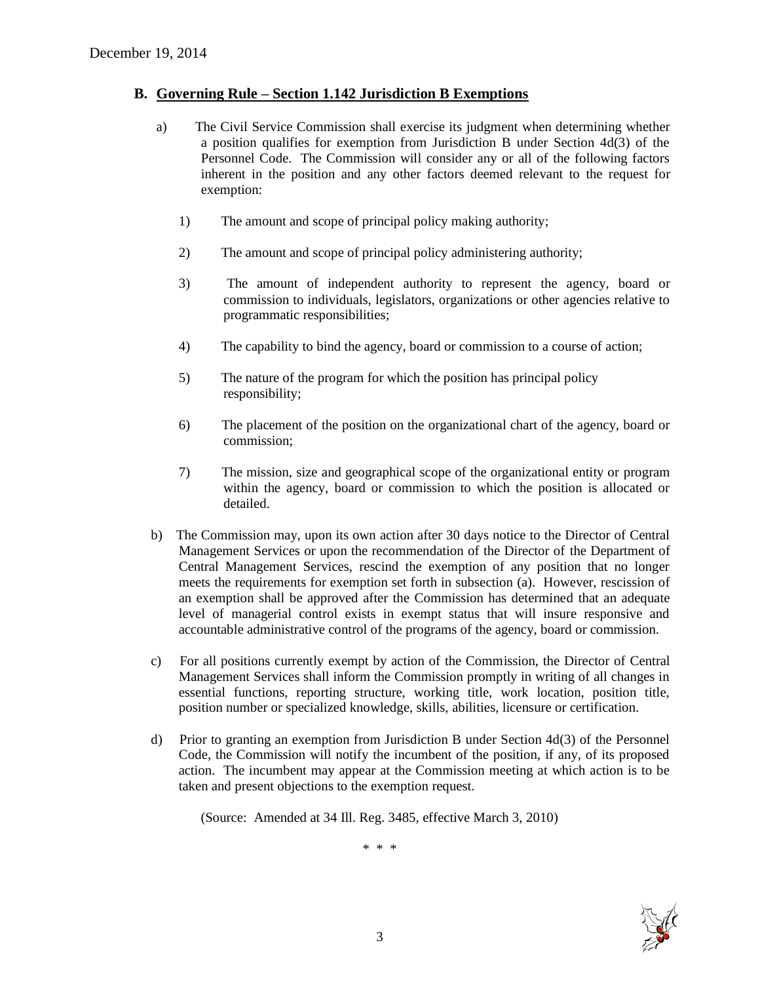#### **B. Governing Rule – Section 1.142 Jurisdiction B Exemptions**

- a) The Civil Service Commission shall exercise its judgment when determining whether a position qualifies for exemption from Jurisdiction B under Section 4d(3) of the Personnel Code. The Commission will consider any or all of the following factors inherent in the position and any other factors deemed relevant to the request for exemption:
	- 1) The amount and scope of principal policy making authority;
	- 2) The amount and scope of principal policy administering authority;
	- 3) The amount of independent authority to represent the agency, board or commission to individuals, legislators, organizations or other agencies relative to programmatic responsibilities;
	- 4) The capability to bind the agency, board or commission to a course of action;
	- 5) The nature of the program for which the position has principal policy responsibility;
	- 6) The placement of the position on the organizational chart of the agency, board or commission;
	- 7) The mission, size and geographical scope of the organizational entity or program within the agency, board or commission to which the position is allocated or detailed.
- b) The Commission may, upon its own action after 30 days notice to the Director of Central Management Services or upon the recommendation of the Director of the Department of Central Management Services, rescind the exemption of any position that no longer meets the requirements for exemption set forth in subsection (a). However, rescission of an exemption shall be approved after the Commission has determined that an adequate level of managerial control exists in exempt status that will insure responsive and accountable administrative control of the programs of the agency, board or commission.
- c) For all positions currently exempt by action of the Commission, the Director of Central Management Services shall inform the Commission promptly in writing of all changes in essential functions, reporting structure, working title, work location, position title, position number or specialized knowledge, skills, abilities, licensure or certification.
- d) Prior to granting an exemption from Jurisdiction B under Section 4d(3) of the Personnel Code, the Commission will notify the incumbent of the position, if any, of its proposed action. The incumbent may appear at the Commission meeting at which action is to be taken and present objections to the exemption request.

(Source: Amended at 34 Ill. Reg. 3485, effective March 3, 2010)

\* \* \*

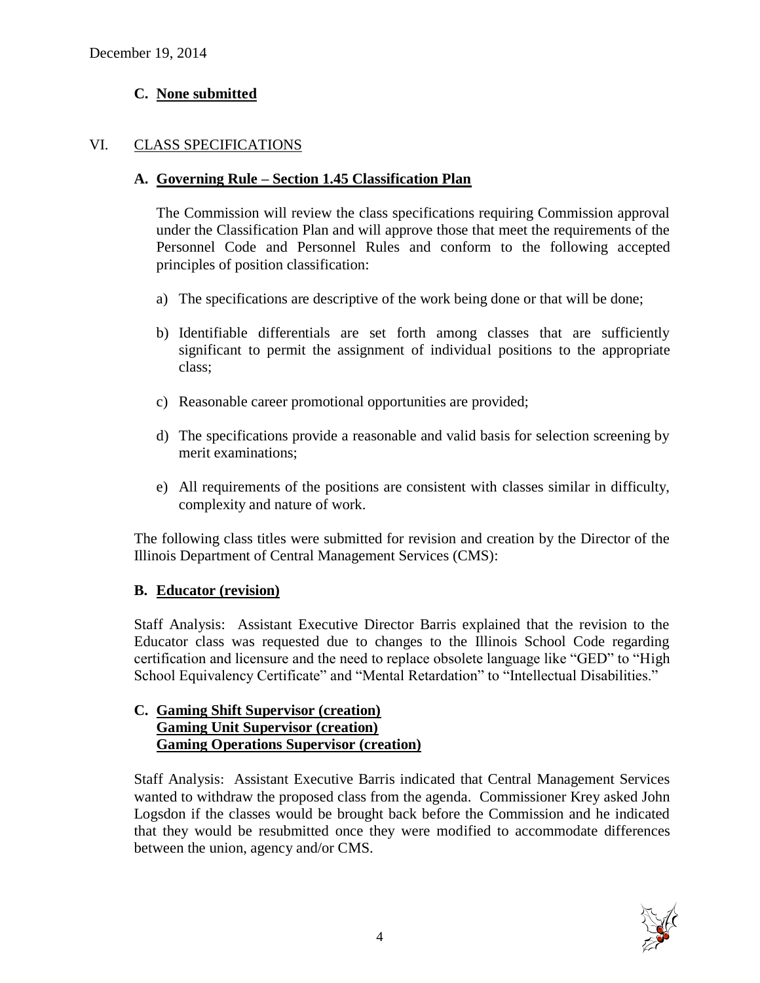# **C. None submitted**

# VI. CLASS SPECIFICATIONS

### **A. Governing Rule – Section 1.45 Classification Plan**

The Commission will review the class specifications requiring Commission approval under the Classification Plan and will approve those that meet the requirements of the Personnel Code and Personnel Rules and conform to the following accepted principles of position classification:

- a) The specifications are descriptive of the work being done or that will be done;
- b) Identifiable differentials are set forth among classes that are sufficiently significant to permit the assignment of individual positions to the appropriate class;
- c) Reasonable career promotional opportunities are provided;
- d) The specifications provide a reasonable and valid basis for selection screening by merit examinations;
- e) All requirements of the positions are consistent with classes similar in difficulty, complexity and nature of work.

The following class titles were submitted for revision and creation by the Director of the Illinois Department of Central Management Services (CMS):

# **B. Educator (revision)**

Staff Analysis: Assistant Executive Director Barris explained that the revision to the Educator class was requested due to changes to the Illinois School Code regarding certification and licensure and the need to replace obsolete language like "GED" to "High School Equivalency Certificate" and "Mental Retardation" to "Intellectual Disabilities."

# **C. Gaming Shift Supervisor (creation) Gaming Unit Supervisor (creation) Gaming Operations Supervisor (creation)**

Staff Analysis: Assistant Executive Barris indicated that Central Management Services wanted to withdraw the proposed class from the agenda. Commissioner Krey asked John Logsdon if the classes would be brought back before the Commission and he indicated that they would be resubmitted once they were modified to accommodate differences between the union, agency and/or CMS.

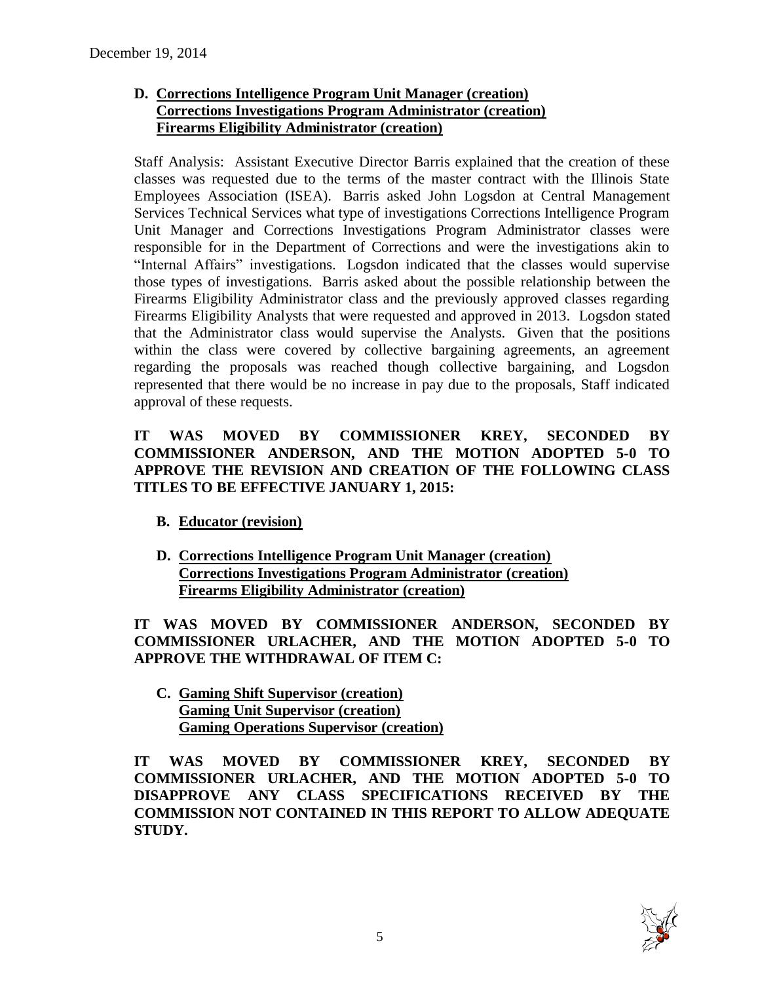# **D. Corrections Intelligence Program Unit Manager (creation) Corrections Investigations Program Administrator (creation) Firearms Eligibility Administrator (creation)**

Staff Analysis: Assistant Executive Director Barris explained that the creation of these classes was requested due to the terms of the master contract with the Illinois State Employees Association (ISEA). Barris asked John Logsdon at Central Management Services Technical Services what type of investigations Corrections Intelligence Program Unit Manager and Corrections Investigations Program Administrator classes were responsible for in the Department of Corrections and were the investigations akin to "Internal Affairs" investigations. Logsdon indicated that the classes would supervise those types of investigations. Barris asked about the possible relationship between the Firearms Eligibility Administrator class and the previously approved classes regarding Firearms Eligibility Analysts that were requested and approved in 2013. Logsdon stated that the Administrator class would supervise the Analysts. Given that the positions within the class were covered by collective bargaining agreements, an agreement regarding the proposals was reached though collective bargaining, and Logsdon represented that there would be no increase in pay due to the proposals, Staff indicated approval of these requests.

### **IT WAS MOVED BY COMMISSIONER KREY, SECONDED BY COMMISSIONER ANDERSON, AND THE MOTION ADOPTED 5-0 TO APPROVE THE REVISION AND CREATION OF THE FOLLOWING CLASS TITLES TO BE EFFECTIVE JANUARY 1, 2015:**

- **B. Educator (revision)**
- **D. Corrections Intelligence Program Unit Manager (creation) Corrections Investigations Program Administrator (creation) Firearms Eligibility Administrator (creation)**

**IT WAS MOVED BY COMMISSIONER ANDERSON, SECONDED BY COMMISSIONER URLACHER, AND THE MOTION ADOPTED 5-0 TO APPROVE THE WITHDRAWAL OF ITEM C:**

**C. Gaming Shift Supervisor (creation) Gaming Unit Supervisor (creation) Gaming Operations Supervisor (creation)**

**IT WAS MOVED BY COMMISSIONER KREY, SECONDED BY COMMISSIONER URLACHER, AND THE MOTION ADOPTED 5-0 TO DISAPPROVE ANY CLASS SPECIFICATIONS RECEIVED BY THE COMMISSION NOT CONTAINED IN THIS REPORT TO ALLOW ADEQUATE STUDY.** 

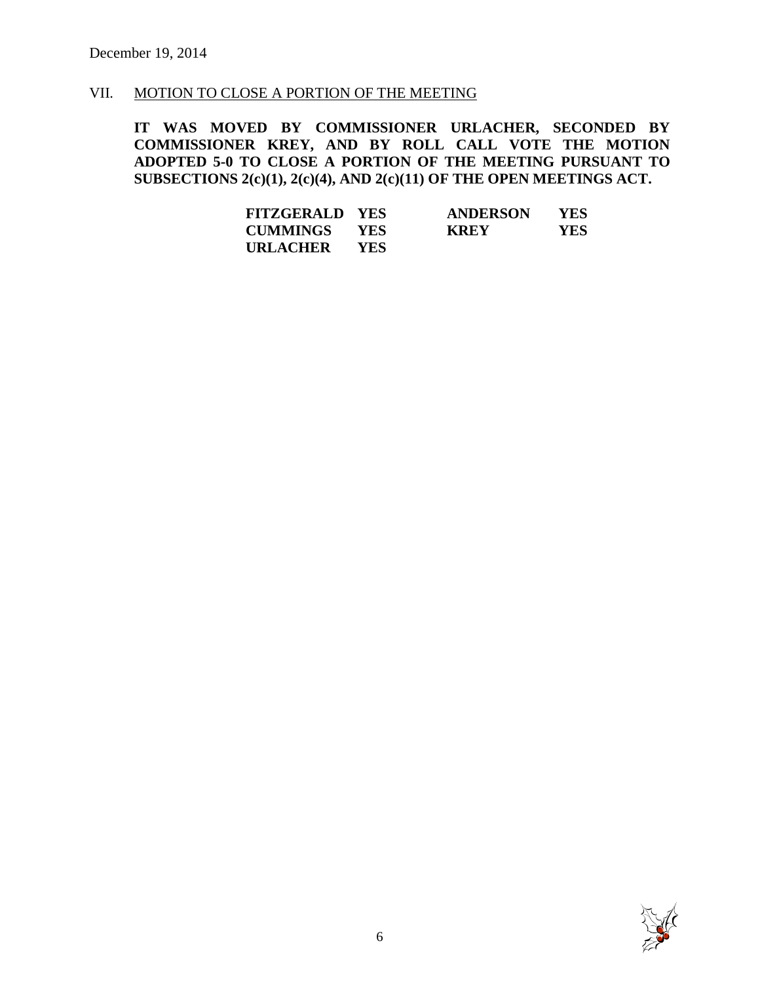#### VII. MOTION TO CLOSE A PORTION OF THE MEETING

**IT WAS MOVED BY COMMISSIONER URLACHER, SECONDED BY COMMISSIONER KREY, AND BY ROLL CALL VOTE THE MOTION ADOPTED 5-0 TO CLOSE A PORTION OF THE MEETING PURSUANT TO SUBSECTIONS 2(c)(1), 2(c)(4), AND 2(c)(11) OF THE OPEN MEETINGS ACT.**

| <b>FITZGERALD YES</b> |            | <b>ANDERSON</b> | YES. |
|-----------------------|------------|-----------------|------|
| <b>CUMMINGS</b>       | <b>YES</b> | <b>KREY</b>     | YES. |
| URLACHER              | YES.       |                 |      |

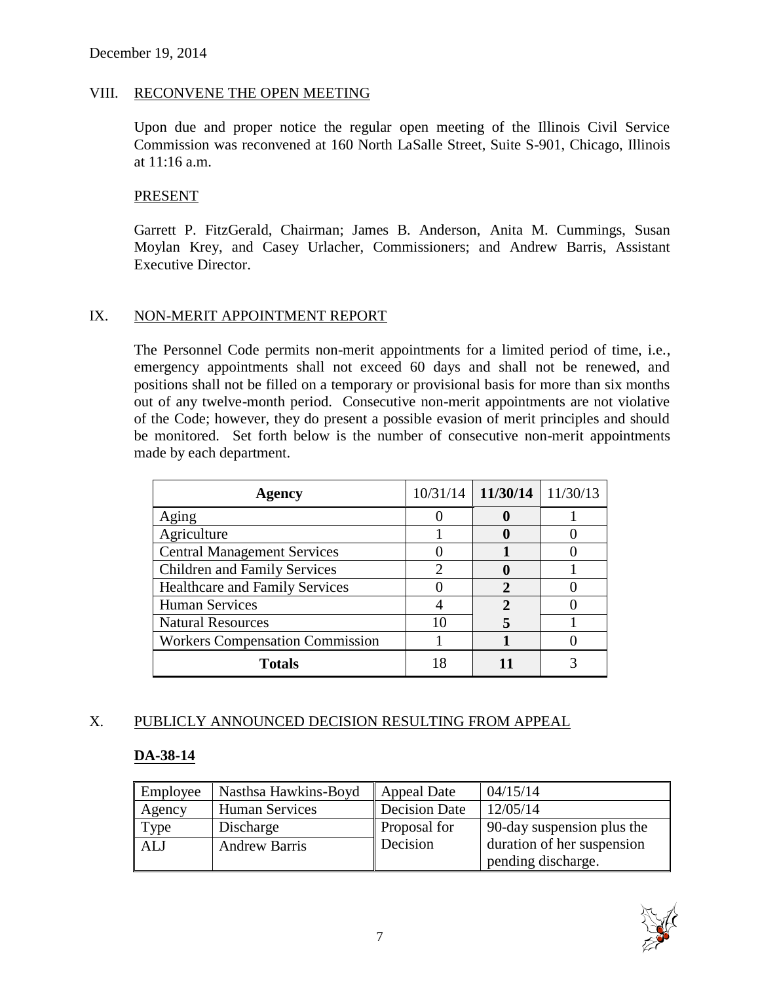#### VIII. RECONVENE THE OPEN MEETING

Upon due and proper notice the regular open meeting of the Illinois Civil Service Commission was reconvened at 160 North LaSalle Street, Suite S-901, Chicago, Illinois at 11:16 a.m.

#### PRESENT

Garrett P. FitzGerald, Chairman; James B. Anderson, Anita M. Cummings, Susan Moylan Krey, and Casey Urlacher, Commissioners; and Andrew Barris, Assistant Executive Director.

#### IX. NON-MERIT APPOINTMENT REPORT

The Personnel Code permits non-merit appointments for a limited period of time, i.e., emergency appointments shall not exceed 60 days and shall not be renewed, and positions shall not be filled on a temporary or provisional basis for more than six months out of any twelve-month period. Consecutive non-merit appointments are not violative of the Code; however, they do present a possible evasion of merit principles and should be monitored. Set forth below is the number of consecutive non-merit appointments made by each department.

| Agency                                 | $10/31/14$ 11/30/14 | 11/30/13 |
|----------------------------------------|---------------------|----------|
| Aging                                  |                     |          |
| Agriculture                            |                     |          |
| <b>Central Management Services</b>     |                     |          |
| <b>Children and Family Services</b>    |                     |          |
| <b>Healthcare and Family Services</b>  |                     |          |
| <b>Human Services</b>                  |                     |          |
| <b>Natural Resources</b>               |                     |          |
| <b>Workers Compensation Commission</b> |                     |          |
| <b>Totals</b>                          | 11                  |          |

# X. PUBLICLY ANNOUNCED DECISION RESULTING FROM APPEAL

# **DA-38-14**

| Employee   | Nasthsa Hawkins-Boyd  | <b>Appeal Date</b>  | 04/15/14                   |
|------------|-----------------------|---------------------|----------------------------|
| Agency     | <b>Human Services</b> | Decision Date       | 12/05/14                   |
| Type       | Discharge             | <b>Proposal for</b> | 90-day suspension plus the |
| <b>ALJ</b> | <b>Andrew Barris</b>  | Decision            | duration of her suspension |
|            |                       |                     | pending discharge.         |

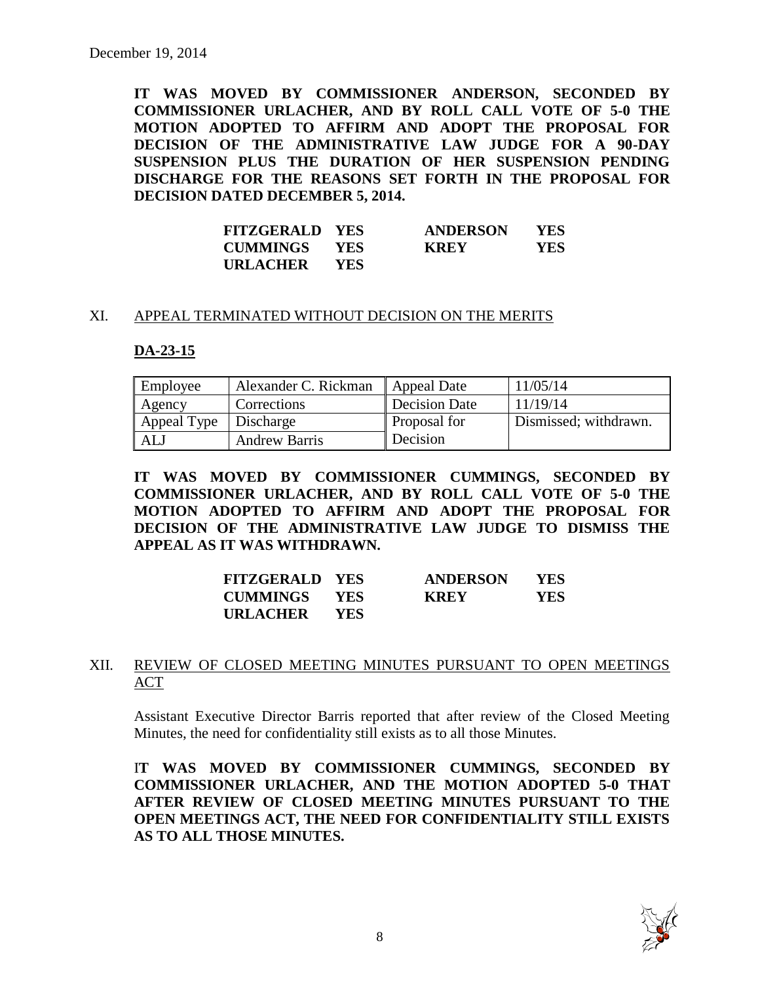**IT WAS MOVED BY COMMISSIONER ANDERSON, SECONDED BY COMMISSIONER URLACHER, AND BY ROLL CALL VOTE OF 5-0 THE MOTION ADOPTED TO AFFIRM AND ADOPT THE PROPOSAL FOR DECISION OF THE ADMINISTRATIVE LAW JUDGE FOR A 90-DAY SUSPENSION PLUS THE DURATION OF HER SUSPENSION PENDING DISCHARGE FOR THE REASONS SET FORTH IN THE PROPOSAL FOR DECISION DATED DECEMBER 5, 2014.**

| <b>FITZGERALD YES</b> |            | <b>ANDERSON</b> | <b>YES</b> |
|-----------------------|------------|-----------------|------------|
| <b>CUMMINGS</b>       | <b>YES</b> | <b>KREY</b>     | YES        |
| URLACHER              | <b>YES</b> |                 |            |

#### XI. APPEAL TERMINATED WITHOUT DECISION ON THE MERITS

#### **DA-23-15**

| Employee    | Alexander C. Rickman | Appeal Date         | 11/05/14              |
|-------------|----------------------|---------------------|-----------------------|
| Agency      | Corrections          | Decision Date       | 11/19/14              |
| Appeal Type | Discharge            | <b>Proposal</b> for | Dismissed; withdrawn. |
| ALJ         | <b>Andrew Barris</b> | Decision            |                       |

**IT WAS MOVED BY COMMISSIONER CUMMINGS, SECONDED BY COMMISSIONER URLACHER, AND BY ROLL CALL VOTE OF 5-0 THE MOTION ADOPTED TO AFFIRM AND ADOPT THE PROPOSAL FOR DECISION OF THE ADMINISTRATIVE LAW JUDGE TO DISMISS THE APPEAL AS IT WAS WITHDRAWN.**

| <b>FITZGERALD YES</b> |            | <b>ANDERSON</b> | <b>YES</b> |
|-----------------------|------------|-----------------|------------|
| <b>CUMMINGS YES</b>   |            | <b>KREY</b>     | YES.       |
| URLACHER              | <b>YES</b> |                 |            |

#### XII. REVIEW OF CLOSED MEETING MINUTES PURSUANT TO OPEN MEETINGS ACT

Assistant Executive Director Barris reported that after review of the Closed Meeting Minutes, the need for confidentiality still exists as to all those Minutes.

I**T WAS MOVED BY COMMISSIONER CUMMINGS, SECONDED BY COMMISSIONER URLACHER, AND THE MOTION ADOPTED 5-0 THAT AFTER REVIEW OF CLOSED MEETING MINUTES PURSUANT TO THE OPEN MEETINGS ACT, THE NEED FOR CONFIDENTIALITY STILL EXISTS AS TO ALL THOSE MINUTES.**